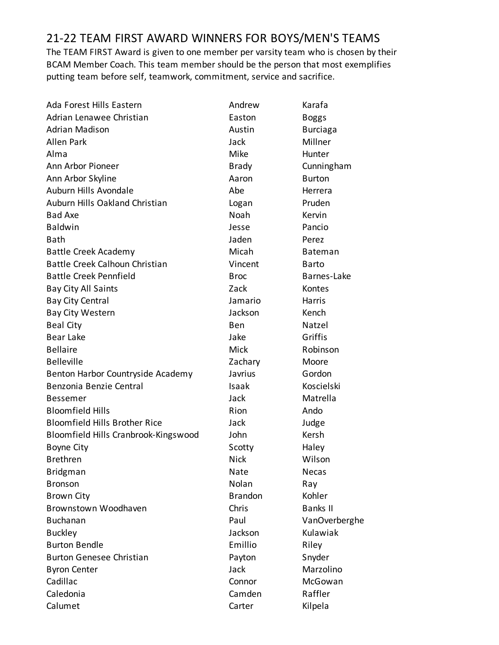## 21-22 TEAM FIRST AWARD WINNERS FOR BOYS/MEN'S TEAMS

The TEAM FIRST Award is given to one member per varsity team who is chosen by their BCAM Member Coach. This team member should be the person that most exemplifies putting team before self, teamwork, commitment, service and sacrifice.

| Ada Forest Hills Eastern             | Andrew         | Karafa          |
|--------------------------------------|----------------|-----------------|
| Adrian Lenawee Christian             | Easton         | <b>Boggs</b>    |
| <b>Adrian Madison</b>                | Austin         | <b>Burciaga</b> |
| <b>Allen Park</b>                    | Jack           | Millner         |
| Alma                                 | Mike           | Hunter          |
| Ann Arbor Pioneer                    | <b>Brady</b>   | Cunningham      |
| Ann Arbor Skyline                    | Aaron          | <b>Burton</b>   |
| Auburn Hills Avondale                | Abe            | Herrera         |
| Auburn Hills Oakland Christian       | Logan          | Pruden          |
| <b>Bad Axe</b>                       | Noah           | Kervin          |
| <b>Baldwin</b>                       | Jesse          | Pancio          |
| <b>Bath</b>                          | Jaden          | Perez           |
| Battle Creek Academy                 | Micah          | <b>Bateman</b>  |
| Battle Creek Calhoun Christian       | Vincent        | <b>Barto</b>    |
| <b>Battle Creek Pennfield</b>        | <b>Broc</b>    | Barnes-Lake     |
| <b>Bay City All Saints</b>           | Zack           | Kontes          |
| <b>Bay City Central</b>              | Jamario        | Harris          |
| <b>Bay City Western</b>              | Jackson        | Kench           |
| <b>Beal City</b>                     | Ben            | Natzel          |
| Bear Lake                            | Jake           | Griffis         |
| <b>Bellaire</b>                      | <b>Mick</b>    | Robinson        |
| <b>Belleville</b>                    | Zachary        | Moore           |
| Benton Harbor Countryside Academy    | Javrius        | Gordon          |
| Benzonia Benzie Central              | Isaak          | Koscielski      |
| <b>Bessemer</b>                      | Jack           | Matrella        |
| <b>Bloomfield Hills</b>              | Rion           | Ando            |
| <b>Bloomfield Hills Brother Rice</b> | Jack           | Judge           |
| Bloomfield Hills Cranbrook-Kingswood | John           | Kersh           |
| <b>Boyne City</b>                    | Scotty         | Haley           |
| <b>Brethren</b>                      | <b>Nick</b>    | Wilson          |
| <b>Bridgman</b>                      | Nate           | Necas           |
| <b>Bronson</b>                       | Nolan          | Ray             |
| <b>Brown City</b>                    | <b>Brandon</b> | Kohler          |
| Brownstown Woodhaven                 | Chris          | <b>Banks II</b> |
| <b>Buchanan</b>                      | Paul           | VanOverberghe   |
| <b>Buckley</b>                       | Jackson        | Kulawiak        |
| <b>Burton Bendle</b>                 | Emillio        | Riley           |
| <b>Burton Genesee Christian</b>      | Payton         | Snyder          |
| <b>Byron Center</b>                  | Jack           | Marzolino       |
| Cadillac                             | Connor         | McGowan         |
| Caledonia                            | Camden         | Raffler         |
| Calumet                              | Carter         | Kilpela         |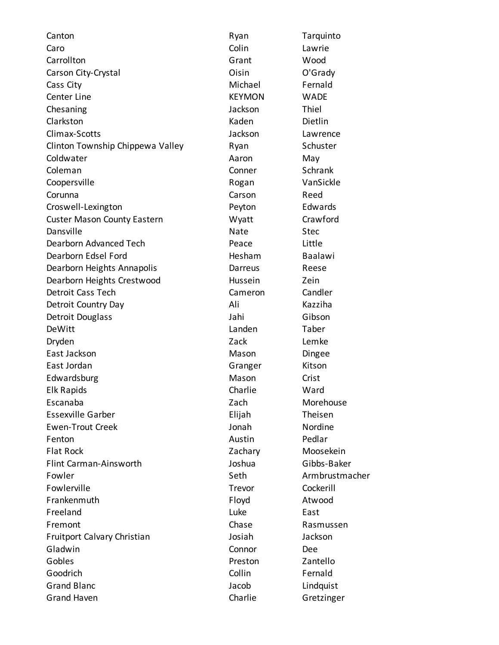Caro Colin Lawrie Carrollton Grant Wood Carson City-Crystal Carson City-Crystal Carson City-Crystal Communisties Consumer Communisties Communisties Co Cass City **Cass City Cass City Cass City Cass City Cass City Cass City Cass City C** Center Line **Center Contract Center Contract Center Contract Center Contract Center Contract Center Contract C** Chesaning Jackson Thiel Clarkston **Clarkston** Dietlin Climax-Scotts Jackson Lawrence Clinton Township Chippewa Valley **Ryan** Ryan Schuster Coldwater **Aaron** May Coleman Conner Schrank Coopersville **Coopersville** Rogan VanSickle Corunna Carson Reed Croswell-Lexington Peyton Edwards Custer Mason County Eastern The County Crawford Dansville Stec Dearborn Advanced Tech Peace Little Dearborn Edsel Ford Hesham Baalawi Dearborn Heights Annapolis **Darreus** Darreus Reese Dearborn Heights Crestwood and Hussein Zein Detroit Cass Tech Cameron Cameron Candler Detroit Country Day **Ali** Ali Kazziha Detroit Douglass and The Library School and Jahi Gibson DeWitt Landen Taber Dryden and Den and Den and Den and Den and Den and Den and Den and Den and Den A East Jackson **Mason** Dingee East Jordan Granger Kitson Edwardsburg **Mason** Crist Elk Rapids Charlie Ward Escanaba Zach Morehouse Essexville Garber Elijah Theisen Ewen-Trout Creek Jonah Nordine Fenton **Austin** Pedlar Flat Rock **No. 2018** 2018 The Moosekein Flint Carman-Ainsworth Joshua Gibbs-Baker Fowler Seth Armbrustmacher Seth Armbrustmacher Fowlerville Trevor Cockerill Frankenmuth **Floyd** Atwood Freeland East Controller East Controller East Controller East Fremont **Chase** Chase Rasmussen Fruitport Calvary Christian and Indiana Josiah Jackson Gladwin **Connor** Dee Gobles **Cobles Cobles Preston Preston Zantello** Goodrich Collin Fernald Grand Blanc **Grand Blanc Contract Contract Contract Contract Contract Contract Contract Contract Contract Contract Contract Contract Contract Contract Contract Contract Contract Contract Contract Contract Contract Contra** Grand Haven **Charlie** Gretzinger

Canton **Canton** Canton Canton Ryan Ryan Tarquinto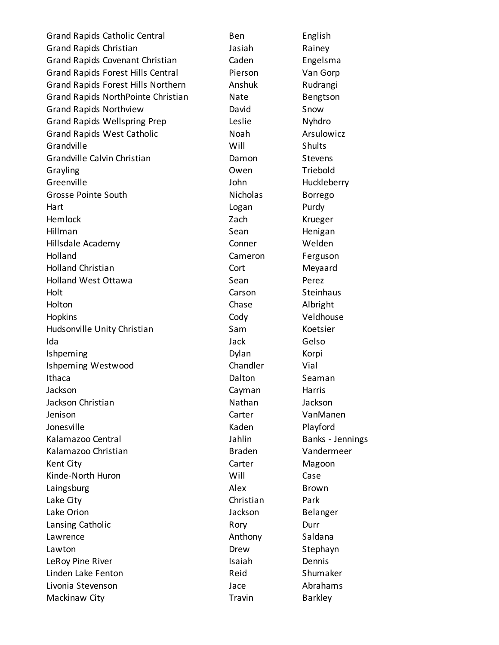Grand Rapids Catholic Central Ben Ben English Grand Rapids Christian and The State State State and Rainey Grand Rapids Covenant Christian Caden Engelsma Grand Rapids Forest Hills Central Pierson Van Gorp Grand Rapids Forest Hills Northern Anshuk Rudrangi Grand Rapids NorthPointe Christian Mate Bengtson Grand Rapids Northview **David** David Snow Grand Rapids Wellspring Prep Leslie Nyhdro Grand Rapids West Catholic Noah Noah Arsulowicz Grandville Shults Grandville Calvin Christian **Christian** Damon Stevens Grayling Communication Communication Communication Communication Communication Communication Communication Communication Communication Communication Communication Communication Communication Communication Communication Com Greenville **Greenville** John Huckleberry Grosse Pointe South **Nicholas** Borrego Hart **Hart Communist Communist Communist Communist Communist Communist Communist Communist Communist Communist Communist Communist Communist Communist Communist Communist Communist Communist Communist Communist Communist C** Hemlock Zach Krueger Hillman **Sean** Sean Henigan Hillsdale Academy Conner Welden Holland **Cameron Ferguson** Holland Christian **New Strutter Cort** Cort Meyaard Holland West Ottawa **Sean** Sean Perez Holt **Carson** Steinhaus Holton Chase Albright Hopkins Cody Veldhouse Hudsonville Unity Christian Sam Sam Koetsier Ida Jack Gelso Ishpeming **Dylan** Boylan Korpi Ishpeming Westwood **Chandler** Vial Ithaca **Dalton** Seaman Jackson Cayman Harris Jackson Christian Nathan Jackson Jenison Carter VanManen Jonesville **National Accord Contract Contract Contract Contract Contract Contract Contract Contract Contract Contract Contract Contract Contract Contract Contract Contract Contract Contract Contract Contract Contract Contr** Kalamazoo Central **Abrahamazoo Central Central Executed Strategier** Jahlin Banks - Jennings Kalamazoo Christian aan aan baraa Braden aan Vandermeer Kent City **Carter** Carter **Carter** Magoon Kinde-North Huron Will Case Laingsburg **Alex** Brown Lake City **Christian** Park Lake Orion and the Contract of the United States of the United States and the United States of the United States Lansing Catholic **Rory** Rory **Durr Durr** Lawrence **Anthony** Saldana Lawton **Drew** Drew Stephayn LeRoy Pine River **Isaiah** Dennis Linden Lake Fenton **Reid** Reid Shumaker Livonia Stevenson Jace Abrahams Mackinaw City **Travin** Travin Barkley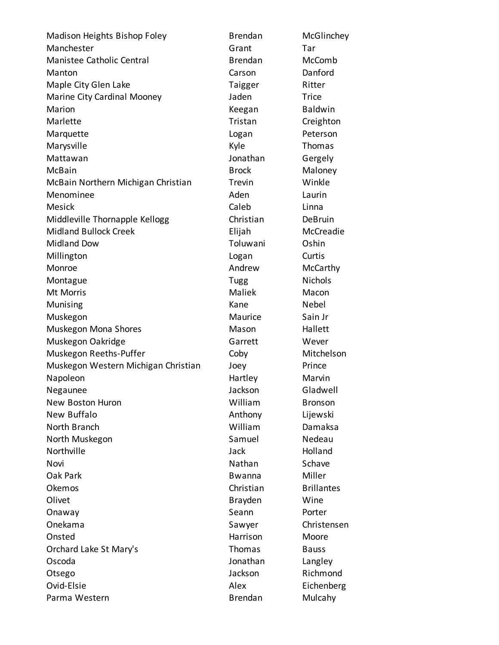Madison Heights Bishop Foley **Brendan** McGlinchey Manchester **Grant** Grant Tar Manistee Catholic Central Brendan McComb Manton Carson Danford Maple City Glen Lake Taigger Ritter Marine City Cardinal Mooney **Filter Studing Contract Contract Contract Contract Contract Contract Contract Contra** Marion **Marion** Christian Marion Marion Marion Meegan Baldwin Marlette **Tristan** Creighton Marquette **Logan** Peterson Marysville **Marysville Marysville** Marysville **Marysville Marysville** Marysville Mattawan **Mattawan** Jonathan Gergely McBain **Maloney** Brock Maloney McBain Northern Michigan Christian Trevin Winkle Menominee and a controlled a controlled a Aden and Laurin Mesick **Caleb** Linna Middleville Thornapple Kellogg **Christian** DeBruin Midland Bullock Creek Elijah McCreadie Midland Dow **Toluwani** Oshin Millington Curtis Monroe Monroe Andrew McCarthy Montague **Nichols Montague** Nichols Mt Morris Maliek Macon Munising Nebel and America Contractor Nebel America Contractor Nebel and Nebel and Nebel and Nebel and Nebel and Nebel and Nebel and Nebel and Nebel and Nebel and Nebel and Nebel and Nebel and Nebel and Nebel and Nebel and Muskegon Maurice Sain Jr Muskegon Mona Shores **Mason** Mason Hallett Muskegon Oakridge Garrett Wever Muskegon Reeths-Puffer The Coby Coby Mitchelson Muskegon Western Michigan Christian Joey Prince Napoleon **Marvin** Hartley Marvin Negaunee Jackson Gladwell New Boston Huron New Bronson New Buffalo **Anthony** Lijewski North Branch William Damaksa North Muskegon **Nedeau** Samuel Nedeau Northville Jack Holland Novi **Nathan** Schave Oak Park **Buller** Bwanna Miller Okemos Christian Brillantes Olivet **Brayden** Wine Onaway **Seann** Porter Onekama Sawyer Christensen Onsted Moore Harrison Moore Orchard Lake St Mary's **Thomas** Bauss Oscoda Jonathan Langley Otsego Jackson Richmond Ovid-Elsie **Alex** Eichenberg **Alex** Eichenberg Parma Western **Brendan** Brendan Mulcahy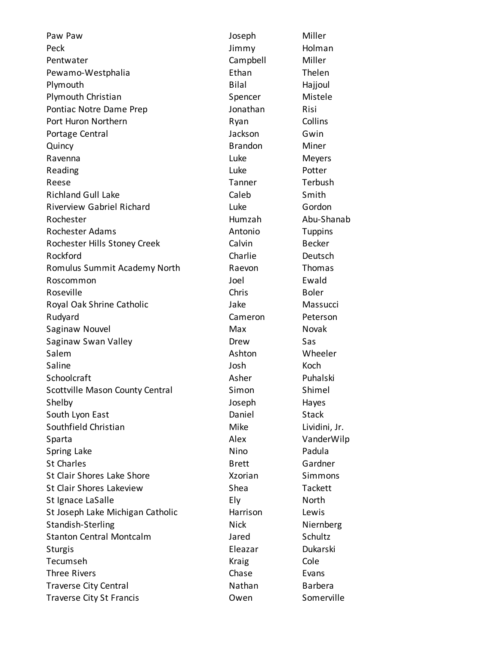Paw Paw **Contract Contract Contract Contract Contract Contract Contract Contract Contract Contract Contract Contract Contract Contract Contract Contract Contract Contract Contract Contract Contract Contract Contract Contra** Peck and the state of the state of the state of the Holman Holman and the Holman Holman Holman and the State o Pentwater **Campbell** Miller Pewamo-Westphalia **Ethan** Ethan Thelen Plymouth Bilal Hajjoul Plymouth Christian **Spencer** Spencer Mistele Pontiac Notre Dame Prep **Contract Contract Activity** Jonathan Risi Port Huron Northern **Ryan** Ryan Collins Portage Central **Canadian Communist Communist Communist Communist Communist Communist Communist Communist Communist Communist Communist Communist Communist Communist Communist Communist Communist Communist Communist Commun** Quincy Brandon Miner Ravenna **Meyers Contract Contract Contract Contract Contract Contract Contract Contract Contract Contract Contract Contract Contract Contract Contract Contract Contract Contract Contract Contract Contract Contract Contra** Reading **Contract Contract Contract Contract Contract Contract Contract Contract Contract Contract Contract Contract Contract Contract Contract Contract Contract Contract Contract Contract Contract Contract Contract Contra** Reese Tanner Tanner Terbush Richland Gull Lake Caleb Smith Riverview Gabriel Richard Luke Gordon Rochester **Humzah** Abu-Shanab Rochester Adams **Antonio** Tuppins Rochester Hills Stoney Creek Calvin Calvin Becker Rockford **Charlie Deutsch** Romulus Summit Academy North Raevon Thomas Roscommon Joel Ewald Roseville **Chris** Boler Royal Oak Shrine Catholic **National Strutter Catholic** Jake Massucci Rudyard **Cameron** Peterson Saginaw Nouvel **Max** Max Novak Saginaw Swan Valley **Saginaw Swan Valley** Contract Chemical Drew Sas Salem **Ashton** Wheeler Saline **Communists** Communist Communist Communist Communist Communist Communist Communist Communist Communist Com Schoolcraft Asher Puhalski Scottville Mason County Central Simon Shimel Shelby Joseph Hayes South Lyon East **Daniel** Stack Southfield Christian **Mike** Lividini, Jr. Sparta **Alex** VanderWilp Spring Lake Nino Padula St Charles **Brett** Gardner St Clair Shores Lake Shore **Shore** Shore **Xzorian** Simmons St Clair Shores Lakeview Shea Tackett St Ignace LaSalle **Ely** Ely **North** St Joseph Lake Michigan Catholic **Harrison** Lewis Standish-Sterling Nick Nick Niernberg Stanton Central Montcalm **Jared** Schultz Sturgis **Eleazar** Dukarski Tecumseh **Cole Cole Cole Cole Cole Cole** Three Rivers **Chase** Evans Traverse City Central Nathan Barbera Traverse City St Francis **Community** Community Owen Somerville